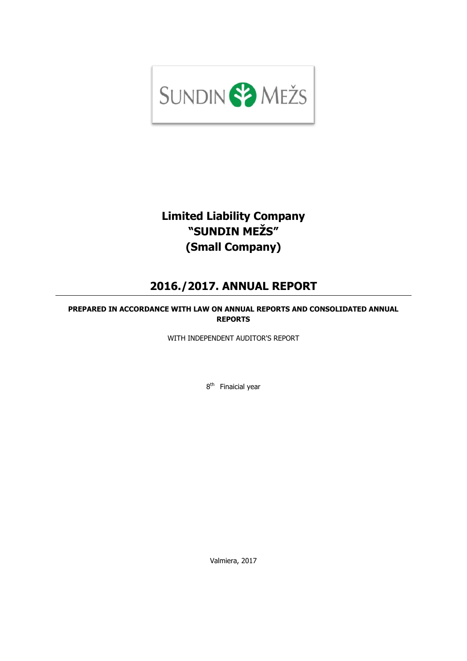

# **Limited Liability Company "SUNDIN MEŽS" (Small Company)**

# **2016./2017. ANNUAL REPORT**

# **PREPARED IN ACCORDANCE WITH LAW ON ANNUAL REPORTS AND CONSOLIDATED ANNUAL REPORTS**

WITH INDEPENDENT AUDITOR'S REPORT

8<sup>th</sup> Finaicial year

Valmiera, 2017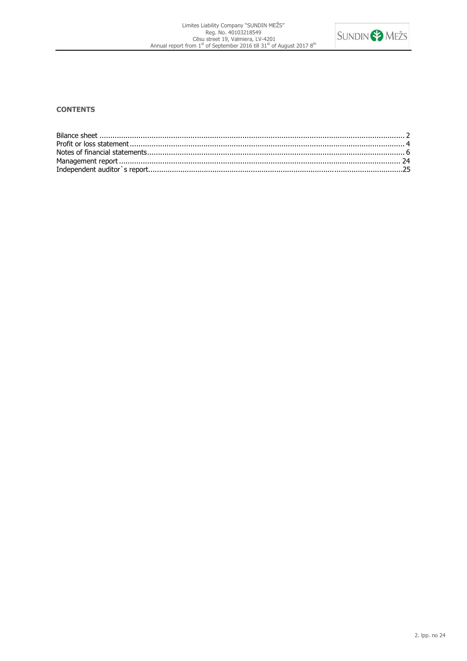

# **CONTENTS**

<span id="page-1-0"></span>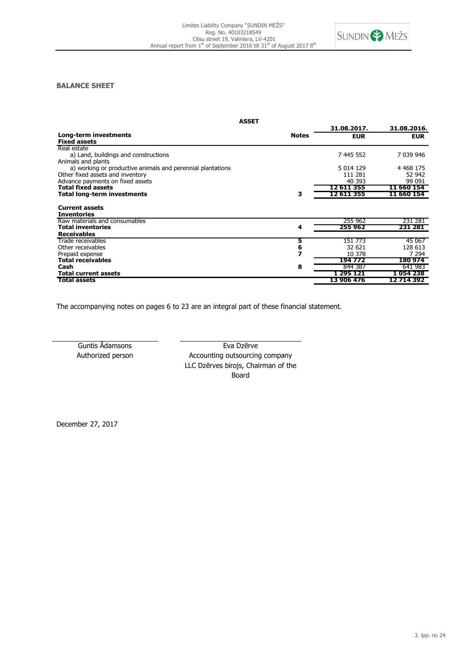

# **BALANCE SHEET**

|                                                            | <b>ASSET</b> |             |              |
|------------------------------------------------------------|--------------|-------------|--------------|
|                                                            |              | 31.08.2017. | 31.08.2016.  |
| Long-term investments                                      | <b>Notes</b> | <b>EUR</b>  | <b>EUR</b>   |
| <b>Fixed assets</b>                                        |              |             |              |
| Real estate                                                |              |             |              |
| a) Land, buildings and constructions                       |              | 7 445 552   | 7 039 946    |
| Animals and plants                                         |              |             |              |
| a) working or productive animals and perennial plantations |              | 5 0 14 1 29 | 4 4 68 1 7 5 |
| Other fixed assets and inventory                           |              | 111 281     | 52 942       |
| Advance payments on fixed assets                           |              | 40 393      | 99 091       |
| <b>Total fixed assets</b>                                  |              | 12 611 355  | 11 660 154   |
| Total long-term investments                                | з            | 12 611 355  | 11 660 154   |
| <b>Current assets</b><br><b>Inventories</b>                |              |             |              |
| Raw materials and consumables                              |              | 255 962     | 231 281      |
| <b>Total inventories</b>                                   | 4            | 255 962     | 231 281      |
| <b>Receivables</b>                                         |              |             |              |
| Trade receivables                                          | 5            | 151 773     | 45 067       |
| Other receivables                                          |              | 32 621      | 128 613      |
| Prepaid expense                                            |              | 10 378      | 7 2 9 4      |
| <b>Total receivables</b>                                   |              | 194 772     | 180974       |
| Cash                                                       | 8            | 844 387     | 641 983      |
| <b>Total current assets</b>                                |              | 1 295 121   | 1 054 238    |
| Total assets                                               |              | 13 906 476  | 12 714 392   |

The accompanying notes on pages 6 to 23 are an integral part of these financial statement.

Guntis Ādamsons **Eva Dzērve** Authorized person Accounting outsourcing company LLC Dzērves birojs, Chairman of the Board

December 27, 2017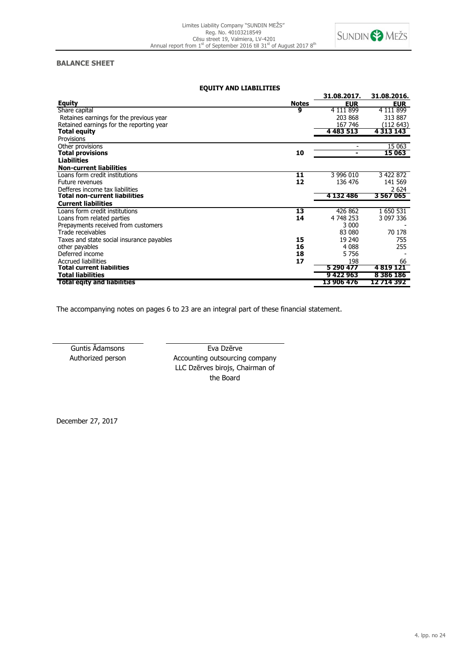

# **BALANCE SHEET**

| <b>EQUITY AND LIABILITIES</b>             |              |             |               |
|-------------------------------------------|--------------|-------------|---------------|
|                                           |              | 31.08.2017. | 31.08.2016.   |
| <b>Equity</b>                             | <b>Notes</b> | <b>EUR</b>  | <u>EUR_</u>   |
| Share capital                             | 9            | 4 111 899   | 4 111 899     |
| Retaines earnings for the previous year   |              | 203 868     | 313 887       |
| Retained earnings for the reporting year  |              | 167 746     | (112 643)     |
| Total equity                              |              | 4 483 513   | 4 313 143     |
| Provisions                                |              |             |               |
| Other provisions                          |              |             | 15 063        |
| <b>Total provisions</b>                   | 10           | -           | 15 063        |
| <b>Liabilities</b>                        |              |             |               |
| <b>Non-current liabilities</b>            |              |             |               |
| Loans form credit institutions            | 11           | 3 996 010   | 3 422 872     |
| Future revenues                           | 12           | 136 476     | 141 569       |
| Defferes income tax liabilities           |              |             | 2 6 2 4       |
| Total non-current liabilities             |              | 4 132 486   | 3567065       |
| <b>Current liabilities</b>                |              |             |               |
| Loans form credit institutions            | 13           | 426 862     | 1 650 531     |
| Loans from related parties                | 14           | 4 748 253   | 3 097 336     |
| Prepayments received from customers       |              | 3 000       |               |
| Trade receivables                         |              | 83 080      | 70 178        |
| Taxes and state social insurance payables | 15           | 19 240      | 755           |
| other payables                            | 16           | 4 0 8 8     | 255           |
| Deferred income                           | 18           | 5756        |               |
| <b>Accrued liabilities</b>                | 17           | 198         | 66            |
| Total current liabilities                 |              | 5 290 477   | 4 8 19 1 21   |
| <b>Total liabilities</b>                  |              | 9422963     | 8 3 8 6 1 8 6 |
| <b>Total egity and liabilities</b>        |              | 13 906 476  | 12 714 392    |

The accompanying notes on pages 6 to 23 are an integral part of these financial statement.

Guntis Ādamsons **Eva Dzērve** Authorized person **Accounting outsourcing company** LLC Dzērves birojs, Chairman of the Board

<span id="page-3-0"></span>December 27, 2017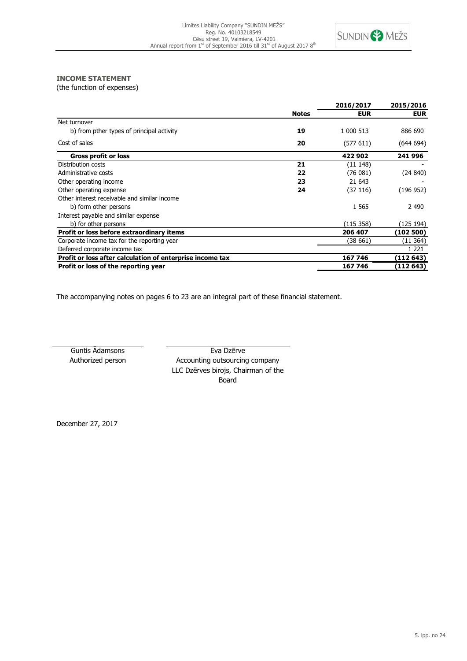

# **INCOME STATEMENT**

(the function of expenses)

|                                                           |              | 2016/2017  | 2015/2016  |
|-----------------------------------------------------------|--------------|------------|------------|
|                                                           | <b>Notes</b> | <b>EUR</b> | <b>EUR</b> |
| Net turnover                                              |              |            |            |
| b) from pther types of principal activity                 | 19           | 1 000 513  | 886 690    |
| Cost of sales                                             | 20           | (577611)   | (644694)   |
| <b>Gross profit or loss</b>                               |              | 422 902    | 241 996    |
| Distribution costs                                        | 21           | (11148)    |            |
| Administrative costs                                      | 22           | (76081)    | (24 840)   |
| Other operating income                                    | 23           | 21 643     |            |
| Other operating expense                                   | 24           | (37 116)   | (196952)   |
| Other interest receivable and similar income              |              |            |            |
| b) form other persons                                     |              | 1 5 6 5    | 2 4 9 0    |
| Interest payable and similar expense                      |              |            |            |
| b) for other persons                                      |              | (115 358)  | (125 194)  |
| Profit or loss before extraordinary items                 |              | 206 407    | (102 500)  |
| Corporate income tax for the reporting year               |              | (38 661)   | (11364)    |
| Deferred corporate income tax                             |              |            | 1 2 2 1    |
| Profit or loss after calculation of enterprise income tax |              | 167 746    | (112 643)  |
| Profit or loss of the reporting year                      |              | 167 746    | (112 643)  |

The accompanying notes on pages 6 to 23 are an integral part of these financial statement.

Guntis Ādamsons **Eva Dzērve** Authorized person **Accounting outsourcing company** LLC Dzērves birojs, Chairman of the Board

December 27, 2017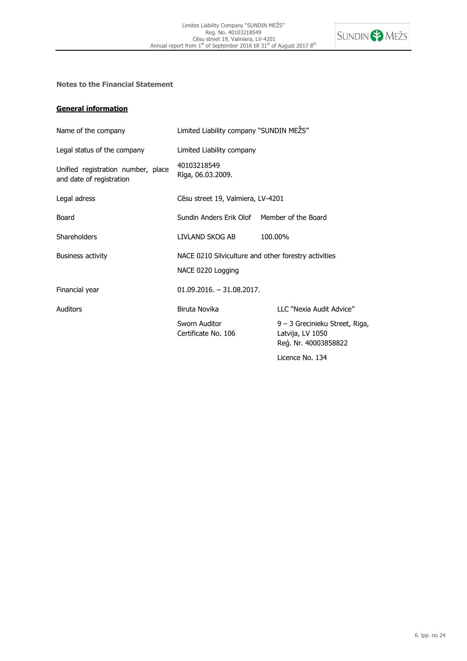

# **Notes to the Financial Statement**

# **General information**

| Name of the company                                            | Limited Liability company "SUNDIN MEZS"                                   |                                                                            |
|----------------------------------------------------------------|---------------------------------------------------------------------------|----------------------------------------------------------------------------|
| Legal status of the company                                    | Limited Liability company                                                 |                                                                            |
| Unified registration number, place<br>and date of registration | 40103218549<br>Rīga, 06.03.2009.                                          |                                                                            |
| Legal adress                                                   | Cēsu street 19, Valmiera, LV-4201                                         |                                                                            |
| Board                                                          | Sundin Anders Erik Olof Member of the Board                               |                                                                            |
| <b>Shareholders</b>                                            | LIVLAND SKOG AB                                                           | 100.00%                                                                    |
| <b>Business activity</b>                                       | NACE 0210 Silviculture and other forestry activities<br>NACE 0220 Logging |                                                                            |
| Financial year                                                 | $01.09.2016. - 31.08.2017.$                                               |                                                                            |
| Auditors                                                       | Biruta Novika                                                             | LLC "Nexia Audit Advice"                                                   |
|                                                                | Sworn Auditor<br>Certificate No. 106                                      | 9 – 3 Grecinieku Street, Riga,<br>Latvija, LV 1050<br>Reg. Nr. 40003858822 |
|                                                                |                                                                           | Licence No. 134                                                            |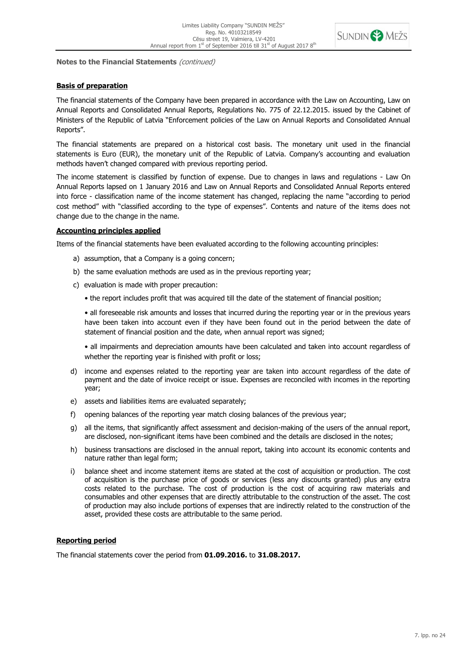

# **Basis of preparation**

The financial statements of the Company have been prepared in accordance with the Law on Accounting, Law on Annual Reports and Consolidated Annual Reports, Regulations No. 775 of 22.12.2015. issued by the Cabinet of Ministers of the Republic of Latvia "Enforcement policies of the Law on Annual Reports and Consolidated Annual Reports".

The financial statements are prepared on a historical cost basis. The monetary unit used in the financial statements is Euro (EUR), the monetary unit of the Republic of Latvia. Company's accounting and evaluation methods haven't changed compared with previous reporting period.

The income statement is classified by function of expense. Due to changes in laws and regulations - Law On Annual Reports lapsed on 1 January 2016 and Law on Annual Reports and Consolidated Annual Reports entered into force - classification name of the income statement has changed, replacing the name "according to period cost method" with "classified according to the type of expenses". Contents and nature of the items does not change due to the change in the name.

# **Accounting principles applied**

Items of the financial statements have been evaluated according to the following accounting principles:

- a) assumption, that a Company is a going concern;
- b) the same evaluation methods are used as in the previous reporting year;
- c) evaluation is made with proper precaution:
	- the report includes profit that was acquired till the date of the statement of financial position;

• all foreseeable risk amounts and losses that incurred during the reporting year or in the previous years have been taken into account even if they have been found out in the period between the date of statement of financial position and the date, when annual report was signed;

• all impairments and depreciation amounts have been calculated and taken into account regardless of whether the reporting year is finished with profit or loss;

- d) income and expenses related to the reporting year are taken into account regardless of the date of payment and the date of invoice receipt or issue. Expenses are reconciled with incomes in the reporting year;
- e) assets and liabilities items are evaluated separately;
- f) opening balances of the reporting year match closing balances of the previous year;
- g) all the items, that significantly affect assessment and decision-making of the users of the annual report, are disclosed, non-significant items have been combined and the details are disclosed in the notes;
- h) business transactions are disclosed in the annual report, taking into account its economic contents and nature rather than legal form;
- i) balance sheet and income statement items are stated at the cost of acquisition or production. The cost of acquisition is the purchase price of goods or services (less any discounts granted) plus any extra costs related to the purchase. The cost of production is the cost of acquiring raw materials and consumables and other expenses that are directly attributable to the construction of the asset. The cost of production may also include portions of expenses that are indirectly related to the construction of the asset, provided these costs are attributable to the same period.

# **Reporting period**

The financial statements cover the period from **01.09.2016.** to **31.08.2017.**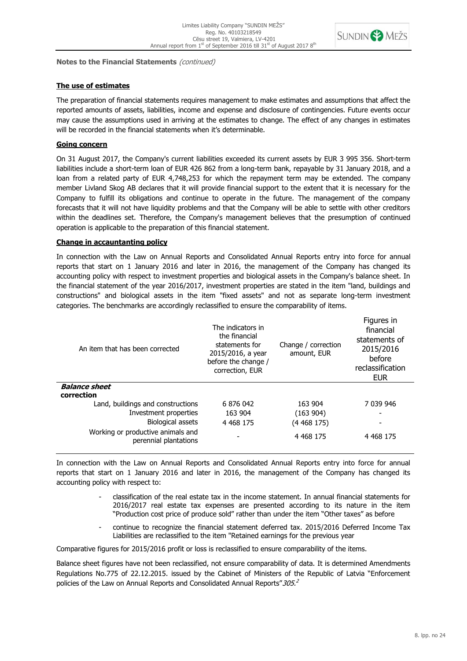

# **The use of estimates**

The preparation of financial statements requires management to make estimates and assumptions that affect the reported amounts of assets, liabilities, income and expense and disclosure of contingencies. Future events occur may cause the assumptions used in arriving at the estimates to change. The effect of any changes in estimates will be recorded in the financial statements when it's determinable.

# **Going concern**

On 31 August 2017, the Company's current liabilities exceeded its current assets by EUR 3 995 356. Short-term liabilities include a short-term loan of EUR 426 862 from a long-term bank, repayable by 31 January 2018, and a loan from a related party of EUR 4,748,253 for which the repayment term may be extended. The company member Livland Skog AB declares that it will provide financial support to the extent that it is necessary for the Company to fulfill its obligations and continue to operate in the future. The management of the company forecasts that it will not have liquidity problems and that the Company will be able to settle with other creditors within the deadlines set. Therefore, the Company's management believes that the presumption of continued operation is applicable to the preparation of this financial statement.

# **Change in accauntanting policy**

In connection with the Law on Annual Reports and Consolidated Annual Reports entry into force for annual reports that start on 1 January 2016 and later in 2016, the management of the Company has changed its accounting policy with respect to investment properties and biological assets in the Company's balance sheet. In the financial statement of the year 2016/2017, investment properties are stated in the item "land, buildings and constructions" and biological assets in the item "fixed assets" and not as separate long-term investment categories. The benchmarks are accordingly reclassified to ensure the comparability of items.

| An item that has been corrected                            | The indicators in<br>the financial<br>statements for<br>2015/2016, a year<br>before the change /<br>correction, EUR | Change / correction<br>amount, EUR | Figures in<br>financial<br>statements of<br>2015/2016<br>before<br>reclassification<br><b>EUR</b> |
|------------------------------------------------------------|---------------------------------------------------------------------------------------------------------------------|------------------------------------|---------------------------------------------------------------------------------------------------|
| <b>Balance sheet</b>                                       |                                                                                                                     |                                    |                                                                                                   |
| correction                                                 |                                                                                                                     |                                    |                                                                                                   |
| Land, buildings and constructions                          | 6 876 042                                                                                                           | 163 904                            | 7 039 946                                                                                         |
| Investment properties                                      | 163 904                                                                                                             | (163904)                           | -                                                                                                 |
| Biological assets                                          | 4 4 68 1 7 5                                                                                                        | (4 468 175)                        |                                                                                                   |
| Working or productive animals and<br>perennial plantations |                                                                                                                     | 4 4 68 1 7 5                       | 4 4 68 175                                                                                        |

In connection with the Law on Annual Reports and Consolidated Annual Reports entry into force for annual reports that start on 1 January 2016 and later in 2016, the management of the Company has changed its accounting policy with respect to:

- classification of the real estate tax in the income statement. In annual financial statements for 2016/2017 real estate tax expenses are presented according to its nature in the item "Production cost price of produce sold" rather than under the item "Other taxes" as before
- continue to recognize the financial statement deferred tax. 2015/2016 Deferred Income Tax Liabilities are reclassified to the item "Retained earnings for the previous year

Comparative figures for 2015/2016 profit or loss is reclassified to ensure comparability of the items.

Balance sheet figures have not been reclassified, not ensure comparability of data. It is determined Amendments Regulations No.775 of 22.12.2015. issued by the Cabinet of Ministers of the Republic of Latvia "Enforcement policies of the Law on Annual Reports and Consolidated Annual Reports"305.<sup>2</sup>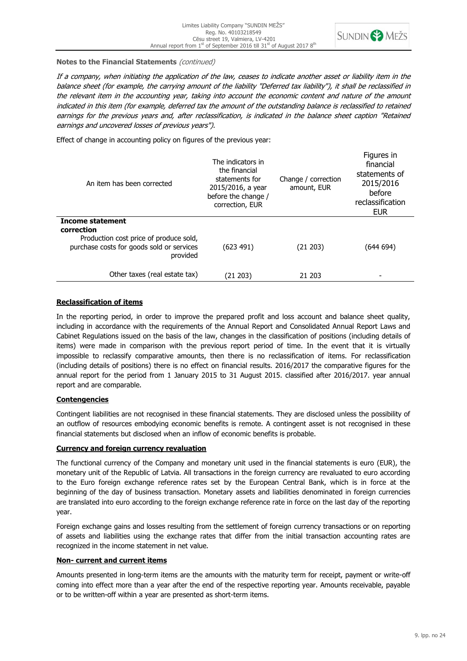

If a company, when initiating the application of the law, ceases to indicate another asset or liability item in the balance sheet (for example, the carrying amount of the liability "Deferred tax liability"), it shall be reclassified in the relevant item in the accounting year, taking into account the economic content and nature of the amount indicated in this item (for example, deferred tax the amount of the outstanding balance is reclassified to retained earnings for the previous years and, after reclassification, is indicated in the balance sheet caption "Retained earnings and uncovered losses of previous years").

Effect of change in accounting policy on figures of the previous year:

| An item has been corrected                                                                      | The indicators in<br>the financial<br>statements for<br>2015/2016, a year<br>before the change /<br>correction, EUR | Change / correction<br>amount, EUR | Figures in<br>financial<br>statements of<br>2015/2016<br>before<br>reclassification<br><b>EUR</b> |
|-------------------------------------------------------------------------------------------------|---------------------------------------------------------------------------------------------------------------------|------------------------------------|---------------------------------------------------------------------------------------------------|
| Income statement<br>correction                                                                  |                                                                                                                     |                                    |                                                                                                   |
| Production cost price of produce sold,<br>purchase costs for goods sold or services<br>provided | (623 491)                                                                                                           | (21 203)                           | (644 694)                                                                                         |
| Other taxes (real estate tax)                                                                   | (21 203)                                                                                                            | 21 203                             |                                                                                                   |

# **Reclassification of items**

In the reporting period, in order to improve the prepared profit and loss account and balance sheet quality, including in accordance with the requirements of the Annual Report and Consolidated Annual Report Laws and Cabinet Regulations issued on the basis of the law, changes in the classification of positions (including details of items) were made in comparison with the previous report period of time. In the event that it is virtually impossible to reclassify comparative amounts, then there is no reclassification of items. For reclassification (including details of positions) there is no effect on financial results. 2016/2017 the comparative figures for the annual report for the period from 1 January 2015 to 31 August 2015. classified after 2016/2017. year annual report and are comparable.

# **Contengencies**

Contingent liabilities are not recognised in these financial statements. They are disclosed unless the possibility of an outflow of resources embodying economic benefits is remote. A contingent asset is not recognised in these financial statements but disclosed when an inflow of economic benefits is probable.

# **Currency and foreign currency revaluation**

The functional currency of the Company and monetary unit used in the financial statements is euro (EUR), the monetary unit of the Republic of Latvia. All transactions in the foreign currency are revaluated to euro according to the Euro foreign exchange reference rates set by the European Central Bank, which is in force at the beginning of the day of business transaction. Monetary assets and liabilities denominated in foreign currencies are translated into euro according to the foreign exchange reference rate in force on the last day of the reporting year.

Foreign exchange gains and losses resulting from the settlement of foreign currency transactions or on reporting of assets and liabilities using the exchange rates that differ from the initial transaction accounting rates are recognized in the income statement in net value.

# **Non- current and current items**

Amounts presented in long-term items are the amounts with the maturity term for receipt, payment or write-off coming into effect more than a year after the end of the respective reporting year. Amounts receivable, payable or to be written-off within a year are presented as short-term items.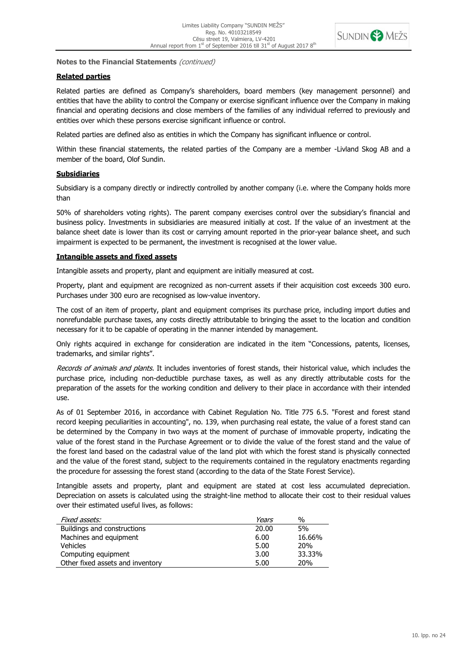

# **Related parties**

Related parties are defined as Company's shareholders, board members (key management personnel) and entities that have the ability to control the Company or exercise significant influence over the Company in making financial and operating decisions and close members of the families of any individual referred to previously and entities over which these persons exercise significant influence or control.

Related parties are defined also as entities in which the Company has significant influence or control.

Within these financial statements, the related parties of the Company are a member -Livland Skog AB and a member of the board, Olof Sundin.

# **Subsidiaries**

Subsidiary is a company directly or indirectly controlled by another company (i.e. where the Company holds more than

50% of shareholders voting rights). The parent company exercises control over the subsidiary's financial and business policy. Investments in subsidiaries are measured initially at cost. If the value of an investment at the balance sheet date is lower than its cost or carrying amount reported in the prior-year balance sheet, and such impairment is expected to be permanent, the investment is recognised at the lower value.

# **Intangible assets and fixed assets**

Intangible assets and property, plant and equipment are initially measured at cost.

Property, plant and equipment are recognized as non-current assets if their acquisition cost exceeds 300 euro. Purchases under 300 euro are recognised as low-value inventory.

The cost of an item of property, plant and equipment comprises its purchase price, including import duties and nonrefundable purchase taxes, any costs directly attributable to bringing the asset to the location and condition necessary for it to be capable of operating in the manner intended by management.

Only rights acquired in exchange for consideration are indicated in the item "Concessions, patents, licenses, trademarks, and similar rights".

Records of animals and plants. It includes inventories of forest stands, their historical value, which includes the purchase price, including non-deductible purchase taxes, as well as any directly attributable costs for the preparation of the assets for the working condition and delivery to their place in accordance with their intended use.

As of 01 September 2016, in accordance with Cabinet Regulation No. Title 775 6.5. "Forest and forest stand record keeping peculiarities in accounting", no. 139, when purchasing real estate, the value of a forest stand can be determined by the Company in two ways at the moment of purchase of immovable property, indicating the value of the forest stand in the Purchase Agreement or to divide the value of the forest stand and the value of the forest land based on the cadastral value of the land plot with which the forest stand is physically connected and the value of the forest stand, subject to the requirements contained in the regulatory enactments regarding the procedure for assessing the forest stand (according to the data of the State Forest Service).

Intangible assets and property, plant and equipment are stated at cost less accumulated depreciation. Depreciation on assets is calculated using the straight-line method to allocate their cost to their residual values over their estimated useful lives, as follows:

| Fixed assets:                    | Years | %               |
|----------------------------------|-------|-----------------|
| Buildings and constructions      | 20.00 | 5%              |
| Machines and equipment           | 6.00  | 16.66%          |
| <b>Vehicles</b>                  | 5.00  | 20 <sub>%</sub> |
| Computing equipment              | 3.00  | 33.33%          |
| Other fixed assets and inventory | 5.00  | 20%             |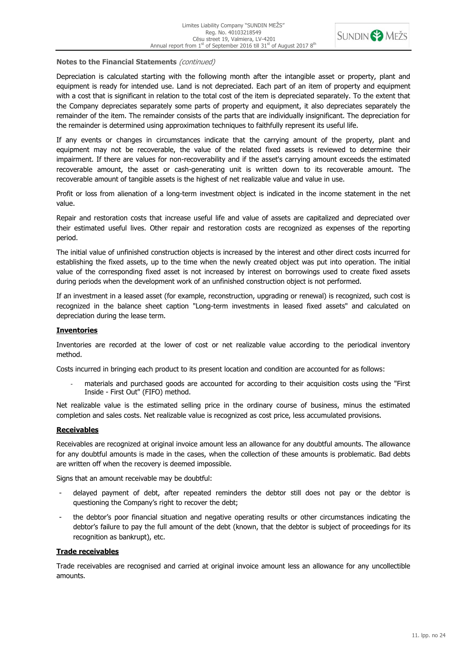

Depreciation is calculated starting with the following month after the intangible asset or property, plant and equipment is ready for intended use. Land is not depreciated. Each part of an item of property and equipment with a cost that is significant in relation to the total cost of the item is depreciated separately. To the extent that the Company depreciates separately some parts of property and equipment, it also depreciates separately the remainder of the item. The remainder consists of the parts that are individually insignificant. The depreciation for the remainder is determined using approximation techniques to faithfully represent its useful life.

If any events or changes in circumstances indicate that the carrying amount of the property, plant and equipment may not be recoverable, the value of the related fixed assets is reviewed to determine their impairment. If there are values for non-recoverability and if the asset's carrying amount exceeds the estimated recoverable amount, the asset or cash-generating unit is written down to its recoverable amount. The recoverable amount of tangible assets is the highest of net realizable value and value in use.

Profit or loss from alienation of a long-term investment object is indicated in the income statement in the net value.

Repair and restoration costs that increase useful life and value of assets are capitalized and depreciated over their estimated useful lives. Other repair and restoration costs are recognized as expenses of the reporting period.

The initial value of unfinished construction objects is increased by the interest and other direct costs incurred for establishing the fixed assets, up to the time when the newly created object was put into operation. The initial value of the corresponding fixed asset is not increased by interest on borrowings used to create fixed assets during periods when the development work of an unfinished construction object is not performed.

If an investment in a leased asset (for example, reconstruction, upgrading or renewal) is recognized, such cost is recognized in the balance sheet caption "Long-term investments in leased fixed assets" and calculated on depreciation during the lease term.

# **Inventories**

Inventories are recorded at the lower of cost or net realizable value according to the periodical inventory method.

Costs incurred in bringing each product to its present location and condition are accounted for as follows:

materials and purchased goods are accounted for according to their acquisition costs using the "First Inside - First Out" (FIFO) method.

Net realizable value is the estimated selling price in the ordinary course of business, minus the estimated completion and sales costs. Net realizable value is recognized as cost price, less accumulated provisions.

# **Receivables**

Receivables are recognized at original invoice amount less an allowance for any doubtful amounts. The allowance for any doubtful amounts is made in the cases, when the collection of these amounts is problematic. Bad debts are written off when the recovery is deemed impossible.

Signs that an amount receivable may be doubtful:

- delayed payment of debt, after repeated reminders the debtor still does not pay or the debtor is questioning the Company's right to recover the debt;
- the debtor's poor financial situation and negative operating results or other circumstances indicating the debtor's failure to pay the full amount of the debt (known, that the debtor is subject of proceedings for its recognition as bankrupt), etc.

# **Trade receivables**

Trade receivables are recognised and carried at original invoice amount less an allowance for any uncollectible amounts.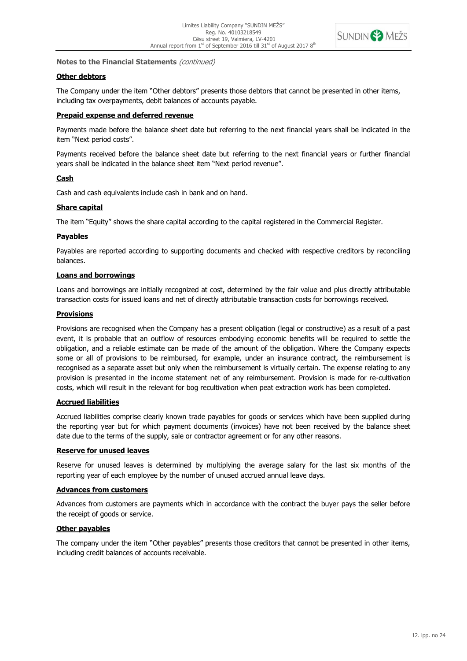

# **Other debtors**

The Company under the item "Other debtors" presents those debtors that cannot be presented in other items, including tax overpayments, debit balances of accounts payable.

# **Prepaid expense and deferred revenue**

Payments made before the balance sheet date but referring to the next financial years shall be indicated in the item "Next period costs".

Payments received before the balance sheet date but referring to the next financial years or further financial years shall be indicated in the balance sheet item "Next period revenue".

# **Cash**

Cash and cash equivalents include cash in bank and on hand.

#### **Share capital**

The item "Equity" shows the share capital according to the capital registered in the Commercial Register.

# **Payables**

Payables are reported according to supporting documents and checked with respective creditors by reconciling balances.

# **Loans and borrowings**

Loans and borrowings are initially recognized at cost, determined by the fair value and plus directly attributable transaction costs for issued loans and net of directly attributable transaction costs for borrowings received.

# **Provisions**

Provisions are recognised when the Company has a present obligation (legal or constructive) as a result of a past event, it is probable that an outflow of resources embodying economic benefits will be required to settle the obligation, and a reliable estimate can be made of the amount of the obligation. Where the Company expects some or all of provisions to be reimbursed, for example, under an insurance contract, the reimbursement is recognised as a separate asset but only when the reimbursement is virtually certain. The expense relating to any provision is presented in the income statement net of any reimbursement. Provision is made for re-cultivation costs, which will result in the relevant for bog recultivation when peat extraction work has been completed.

# **Accrued liabilities**

Accrued liabilities comprise clearly known trade payables for goods or services which have been supplied during the reporting year but for which payment documents (invoices) have not been received by the balance sheet date due to the terms of the supply, sale or contractor agreement or for any other reasons.

# **Reserve for unused leaves**

Reserve for unused leaves is determined by multiplying the average salary for the last six months of the reporting year of each employee by the number of unused accrued annual leave days.

# **Advances from customers**

Advances from customers are payments which in accordance with the contract the buyer pays the seller before the receipt of goods or service.

# **Other payables**

The company under the item "Other payables" presents those creditors that cannot be presented in other items, including credit balances of accounts receivable.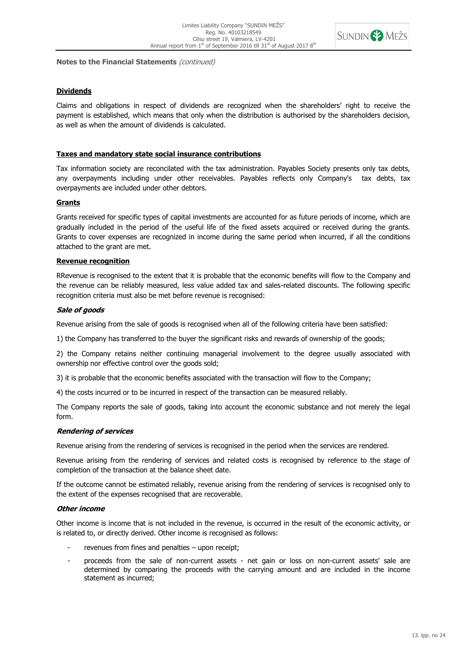

# **Dividends**

Claims and obligations in respect of dividends are recognized when the shareholders' right to receive the payment is established, which means that only when the distribution is authorised by the shareholders decision, as well as when the amount of dividends is calculated.

# **Taxes and mandatory state social insurance contributions**

Tax information society are reconcilated with the tax administration. Payables Society presents only tax debts, any overpayments including under other receivables. Payables reflects only Company's tax debts, tax overpayments are included under other debtors.

# **Grants**

Grants received for specific types of capital investments are accounted for as future periods of income, which are gradually included in the period of the useful life of the fixed assets acquired or received during the grants. Grants to cover expenses are recognized in income during the same period when incurred, if all the conditions attached to the grant are met.

# **Revenue recognition**

RRevenue is recognised to the extent that it is probable that the economic benefits will flow to the Company and the revenue can be reliably measured, less value added tax and sales-related discounts. The following specific recognition criteria must also be met before revenue is recognised:

# **Sale of goods**

Revenue arising from the sale of goods is recognised when all of the following criteria have been satisfied:

1) the Company has transferred to the buyer the significant risks and rewards of ownership of the goods;

2) the Company retains neither continuing managerial involvement to the degree usually associated with ownership nor effective control over the goods sold;

3) it is probable that the economic benefits associated with the transaction will flow to the Company;

4) the costs incurred or to be incurred in respect of the transaction can be measured reliably.

The Company reports the sale of goods, taking into account the economic substance and not merely the legal form.

# **Rendering of services**

Revenue arising from the rendering of services is recognised in the period when the services are rendered.

Revenue arising from the rendering of services and related costs is recognised by reference to the stage of completion of the transaction at the balance sheet date.

If the outcome cannot be estimated reliably, revenue arising from the rendering of services is recognised only to the extent of the expenses recognised that are recoverable.

# **Other income**

Other income is income that is not included in the revenue, is occurred in the result of the economic activity, or is related to, or directly derived. Other income is recognised as follows:

- revenues from fines and penalties upon receipt;
- proceeds from the sale of non-current assets net gain or loss on non-current assets' sale are determined by comparing the proceeds with the carrying amount and are included in the income statement as incurred;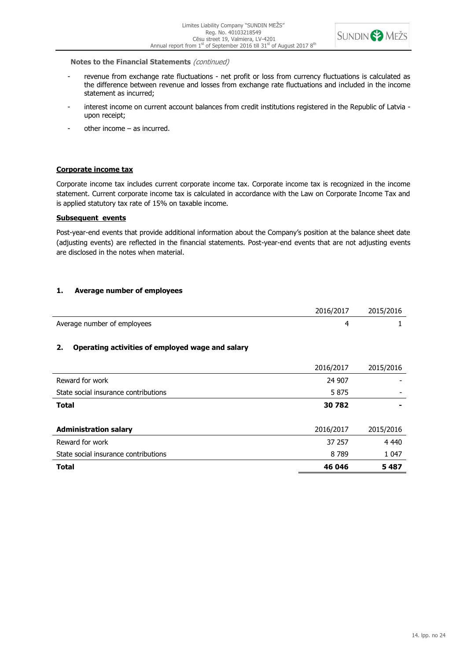

- revenue from exchange rate fluctuations net profit or loss from currency fluctuations is calculated as the difference between revenue and losses from exchange rate fluctuations and included in the income statement as incurred;
- interest income on current account balances from credit institutions registered in the Republic of Latvia upon receipt;
- other income as incurred.

# **Corporate income tax**

Corporate income tax includes current corporate income tax. Corporate income tax is recognized in the income statement. Current corporate income tax is calculated in accordance with the Law on Corporate Income Tax and is applied statutory tax rate of 15% on taxable income.

#### **Subsequent events**

Post-year-end events that provide additional information about the Company's position at the balance sheet date (adjusting events) are reflected in the financial statements. Post-year-end events that are not adjusting events are disclosed in the notes when material.

# **1. Average number of employees**

|                             | 2016/2017 | 2015/2016 |
|-----------------------------|-----------|-----------|
| Average number of employees |           |           |

# **2. Operating activities of employed wage and salary**

|                                      | 2016/2017 | 2015/2016 |
|--------------------------------------|-----------|-----------|
| Reward for work                      | 24 907    |           |
| State social insurance contributions | 5875      |           |
| <b>Total</b>                         | 30782     |           |
|                                      |           |           |
| <b>Administration salary</b>         | 2016/2017 | 2015/2016 |
| Reward for work                      | 37 257    | 4 4 4 0   |
| State social insurance contributions | 8 7 8 9   | 1 0 4 7   |
| <b>Total</b>                         | 46 046    | 5 487     |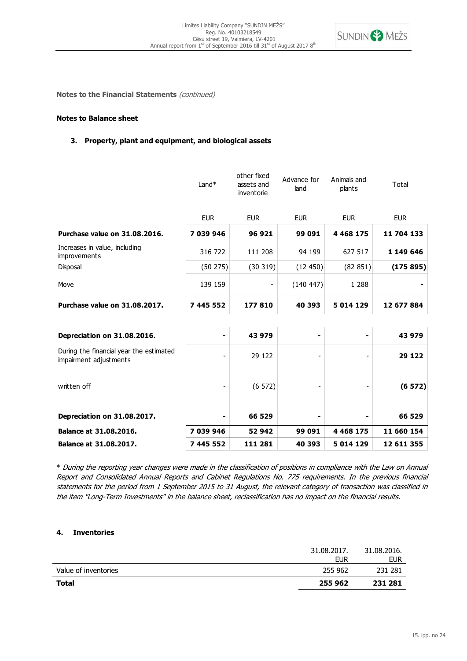

# **Notes to Balance sheet**

# **3. Property, plant and equipment, and biological assets**

| Balance at 31.08.2017.                                            | 7 445 552  | 111 281                                 | 40 393              | 5 014 129             | 12 611 355 |
|-------------------------------------------------------------------|------------|-----------------------------------------|---------------------|-----------------------|------------|
| Balance at 31.08.2016.                                            | 7 039 946  | 52 942                                  | 99 091              | 4 4 68 1 7 5          | 11 660 154 |
| Depreciation on 31.08.2017.                                       |            | 66 529                                  |                     |                       | 66 529     |
| written off                                                       |            | (6572)                                  |                     |                       | (6572)     |
| During the financial year the estimated<br>impairment adjustments |            | 29 122                                  |                     |                       | 29 122     |
| Depreciation on 31.08.2016.                                       |            | 43 979                                  |                     |                       | 43 979     |
| Purchase value on 31.08.2017.                                     | 7 445 552  | 177810                                  | 40 393              | 5 014 129             | 12 677 884 |
| Move                                                              | 139 159    |                                         | (140 447)           | 1 2 8 8               |            |
| Disposal                                                          | (50275)    | (30319)                                 | (12450)             | (82 851)              | (175895)   |
| Increases in value, including<br>improvements                     | 316 722    | 111 208                                 | 94 199              | 627 517               | 1 149 646  |
| Purchase value on 31.08.2016.                                     | 7 039 946  | 96 921                                  | 99 091              | 4 4 68 1 7 5          | 11 704 133 |
|                                                                   | <b>EUR</b> | <b>EUR</b>                              | <b>EUR</b>          | <b>EUR</b>            | <b>EUR</b> |
|                                                                   | $Land*$    | other fixed<br>assets and<br>inventorie | Advance for<br>land | Animals and<br>plants | Total      |

\* During the reporting year changes were made in the classification of positions in compliance with the Law on Annual Report and Consolidated Annual Reports and Cabinet Regulations No. 775 requirements. In the previous financial statements for the period from 1 September 2015 to 31 August, the relevant category of transaction was classified in the item "Long-Term Investments" in the balance sheet, reclassification has no impact on the financial results.

#### **4. Inventories**

| Value of inventories | 255 962 | 231 281 |
|----------------------|---------|---------|
| <b>Total</b>         | 255 962 | 231 281 |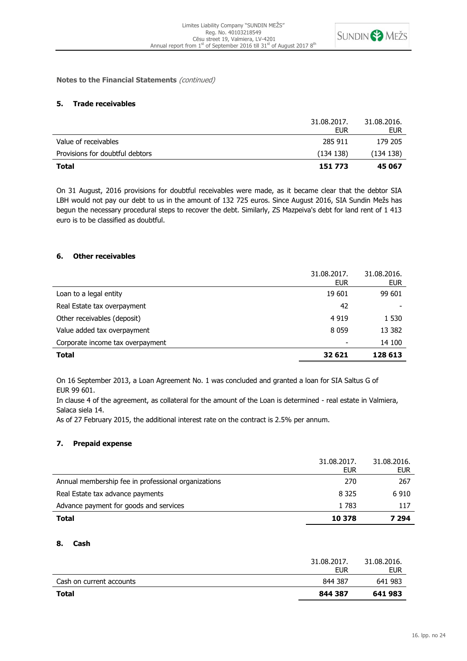

# **5. Trade receivables**

|                                 | 31.08.2017.<br><b>EUR</b> | 31.08.2016.<br><b>EUR</b> |
|---------------------------------|---------------------------|---------------------------|
| Value of receivables            | 285 911                   | 179 205                   |
| Provisions for doubtful debtors | (134138)                  | (134138)                  |
| <b>Total</b>                    | 151 773                   | 45 067                    |

On 31 August, 2016 provisions for doubtful receivables were made, as it became clear that the debtor SIA LBH would not pay our debt to us in the amount of 132 725 euros. Since August 2016, SIA Sundin Mežs has begun the necessary procedural steps to recover the debt. Similarly, ZS Mazpeiva's debt for land rent of 1 413 euro is to be classified as doubtful.

# **6. Other receivables**

|                                  | 31.08.2017.<br><b>EUR</b> | 31.08.2016.<br><b>EUR</b> |
|----------------------------------|---------------------------|---------------------------|
| Loan to a legal entity           | 19 601                    | 99 601                    |
| Real Estate tax overpayment      | 42                        |                           |
| Other receivables (deposit)      | 4 9 1 9                   | 1 530                     |
| Value added tax overpayment      | 8 0 5 9                   | 13 382                    |
| Corporate income tax overpayment | $\overline{\phantom{a}}$  | 14 100                    |
| <b>Total</b>                     | 32 621                    | 128 613                   |

On 16 September 2013, a Loan Agreement No. 1 was concluded and granted a loan for SIA Saltus G of EUR 99 601.

In clause 4 of the agreement, as collateral for the amount of the Loan is determined - real estate in Valmiera, Salaca siela 14.

As of 27 February 2015, the additional interest rate on the contract is 2.5% per annum.

#### **7. Prepaid expense**

|                                                     | 31.08.2017.<br>EUR | 31.08.2016.<br>eur |
|-----------------------------------------------------|--------------------|--------------------|
| Annual membership fee in professional organizations | 270                | 267                |
| Real Estate tax advance payments                    | 8 3 2 5            | 6910               |
| Advance payment for goods and services              | 1783               | 117                |
| Total                                               | 10 378             | 7 294              |

# **8. Cash**

| Cash on current accounts | <b>EUR</b><br>844 387 | <b>EUR</b><br>641 983 |
|--------------------------|-----------------------|-----------------------|
| <b>Total</b>             | 844 387               | 641983                |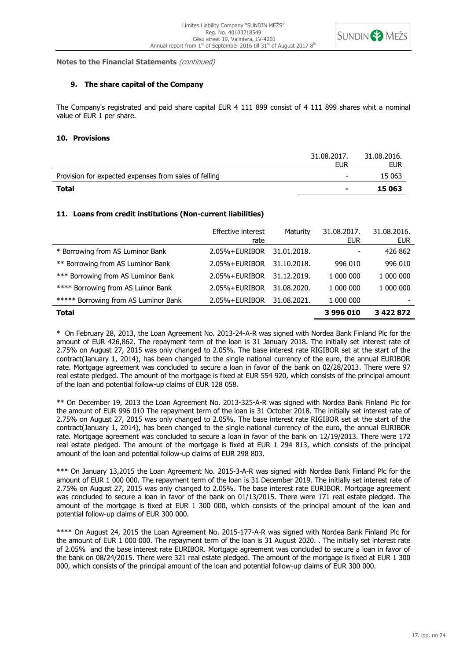

#### **9. The share capital of the Company**

The Company's registrated and paid share capital EUR 4 111 899 consist of 4 111 899 shares whit a nominal value of EUR 1 per share.

#### **10. Provisions**

|                                                       | 31.08.2017.<br>EUR       | 31.08.2016.<br>EUR |
|-------------------------------------------------------|--------------------------|--------------------|
| Provision for expected expenses from sales of felling | $\overline{\phantom{0}}$ | 15 063             |
| <b>Total</b>                                          | $\overline{\phantom{a}}$ | 15 063             |

# **11. Loans from credit institutions (Non-current liabilities)**

|                                      | Effective interest<br>rate | Maturity    | 31.08.2017.<br><b>EUR</b> | 31.08.2016.<br><b>EUR</b> |
|--------------------------------------|----------------------------|-------------|---------------------------|---------------------------|
| * Borrowing from AS Luminor Bank     | 2.05%+EURIBOR              | 31.01.2018. |                           | 426 862                   |
| ** Borrowing from AS Luminor Bank    | 2.05%+EURIBOR              | 31.10.2018. | 996 010                   | 996 010                   |
| *** Borrowing from AS Luminor Bank   | 2.05%+EURIBOR              | 31.12.2019. | 1 000 000                 | 1 000 000                 |
| **** Borrowing from AS Luinor Bank   | 2.05%+EURIBOR              | 31.08.2020. | 1 000 000                 | 1 000 000                 |
| ***** Borrowing from AS Luminor Bank | 2.05%+EURIBOR              | 31.08.2021. | 1 000 000                 |                           |
| <b>Total</b>                         |                            |             | 3996010                   | 3 4 2 2 8 7 2             |

\* On February 28, 2013, the Loan Agreement No. 2013-24-A-R was signed with Nordea Bank Finland Plc for the amount of EUR 426,862. The repayment term of the loan is 31 January 2018. The initially set interest rate of 2.75% on August 27, 2015 was only changed to 2.05%. The base interest rate RIGIBOR set at the start of the contract(January 1, 2014), has been changed to the single national currency of the euro, the annual EURIBOR rate. Mortgage agreement was concluded to secure a loan in favor of the bank on 02/28/2013. There were 97 real estate pledged. The amount of the mortgage is fixed at EUR 554 920, which consists of the principal amount of the loan and potential follow-up claims of EUR 128 058.

\*\* On December 19, 2013 the Loan Agreement No. 2013-325-A-R was signed with Nordea Bank Finland Plc for the amount of EUR 996 010 The repayment term of the loan is 31 October 2018. The initially set interest rate of 2.75% on August 27, 2015 was only changed to 2.05%. The base interest rate RIGIBOR set at the start of the contract(January 1, 2014), has been changed to the single national currency of the euro, the annual EURIBOR rate. Mortgage agreement was concluded to secure a loan in favor of the bank on 12/19/2013. There were 172 real estate pledged. The amount of the mortgage is fixed at EUR 1 294 813, which consists of the principal amount of the loan and potential follow-up claims of EUR 298 803.

\*\*\* On January 13,2015 the Loan Agreement No. 2015-3-A-R was signed with Nordea Bank Finland Plc for the amount of EUR 1 000 000. The repayment term of the loan is 31 December 2019. The initially set interest rate of 2.75% on August 27, 2015 was only changed to 2.05%. The base interest rate EURIBOR. Mortgage agreement was concluded to secure a loan in favor of the bank on 01/13/2015. There were 171 real estate pledged. The amount of the mortgage is fixed at EUR 1 300 000, which consists of the principal amount of the loan and potential follow-up claims of EUR 300 000.

\*\*\*\* On August 24, 2015 the Loan Agreement No. 2015-177-A-R was signed with Nordea Bank Finland Plc for the amount of EUR 1 000 000. The repayment term of the loan is 31 August 2020. . The initially set interest rate of 2.05% and the base interest rate EURIBOR. Mortgage agreement was concluded to secure a loan in favor of the bank on 08/24/2015. There were 321 real estate pledged. The amount of the mortgage is fixed at EUR 1 300 000, which consists of the principal amount of the loan and potential follow-up claims of EUR 300 000.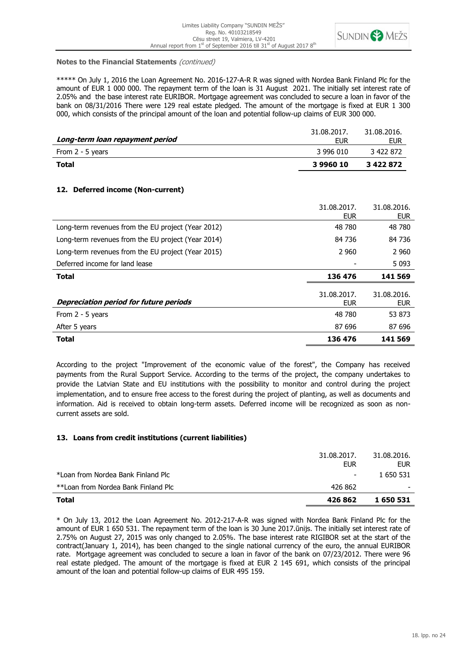

\*\*\*\*\* On July 1, 2016 the Loan Agreement No. 2016-127-A-R R was signed with Nordea Bank Finland Plc for the amount of EUR 1 000 000. The repayment term of the loan is 31 August 2021. The initially set interest rate of 2.05% and the base interest rate EURIBOR. Mortgage agreement was concluded to secure a loan in favor of the bank on 08/31/2016 There were 129 real estate pledged. The amount of the mortgage is fixed at EUR 1 300 000, which consists of the principal amount of the loan and potential follow-up claims of EUR 300 000.

| 3996010            | 3 4 2 2 8 7 2      |
|--------------------|--------------------|
| 3 996 010          | 3 422 872          |
| 31.08.2017.<br>EUR | 31.08.2016.<br>EUR |
|                    |                    |

# **12. Deferred income (Non-current)**

|                                                    | 31.08.2017.<br><b>EUR</b> | 31.08.2016.<br><b>EUR</b> |
|----------------------------------------------------|---------------------------|---------------------------|
| Long-term revenues from the EU project (Year 2012) | 48 780                    | 48 780                    |
| Long-term revenues from the EU project (Year 2014) | 84 736                    | 84 736                    |
| Long-term revenues from the EU project (Year 2015) | 2 9 6 0                   | 2 9 6 0                   |
| Deferred income for land lease                     |                           | 5 0 9 3                   |
| <b>Total</b>                                       | 136 476                   | 141 569                   |
| <b>Depreciation period for future periods</b>      | 31.08.2017.<br><b>EUR</b> | 31.08.2016.<br><b>EUR</b> |
| From 2 - 5 years                                   | 48 780                    | 53 873                    |
| After 5 years                                      | 87 696                    | 87 696                    |
| <b>Total</b>                                       | 136 476                   | 141 569                   |

According to the project "Improvement of the economic value of the forest", the Company has received payments from the Rural Support Service. According to the terms of the project, the company undertakes to provide the Latvian State and EU institutions with the possibility to monitor and control during the project implementation, and to ensure free access to the forest during the project of planting, as well as documents and information. Aid is received to obtain long-term assets. Deferred income will be recognized as soon as noncurrent assets are sold.

# **13. Loans from credit institutions (current liabilities)**

| <b>Total</b>                        | 426 862                  | 1 650 531                 |
|-------------------------------------|--------------------------|---------------------------|
| **Loan from Nordea Bank Finland Plc | 426 862                  |                           |
| *Loan from Nordea Bank Finland Plc  | $\overline{\phantom{a}}$ | 1 650 531                 |
|                                     | 31.08.2017.<br>EUR       | 31.08.2016.<br><b>EUR</b> |

\* On July 13, 2012 the Loan Agreement No. 2012-217-A-R was signed with Nordea Bank Finland Plc for the amount of EUR 1 650 531. The repayment term of the loan is 30 June 2017.ūnijs. The initially set interest rate of 2.75% on August 27, 2015 was only changed to 2.05%. The base interest rate RIGIBOR set at the start of the contract(January 1, 2014), has been changed to the single national currency of the euro, the annual EURIBOR rate. Mortgage agreement was concluded to secure a loan in favor of the bank on 07/23/2012. There were 96 real estate pledged. The amount of the mortgage is fixed at EUR 2 145 691, which consists of the principal amount of the loan and potential follow-up claims of EUR 495 159.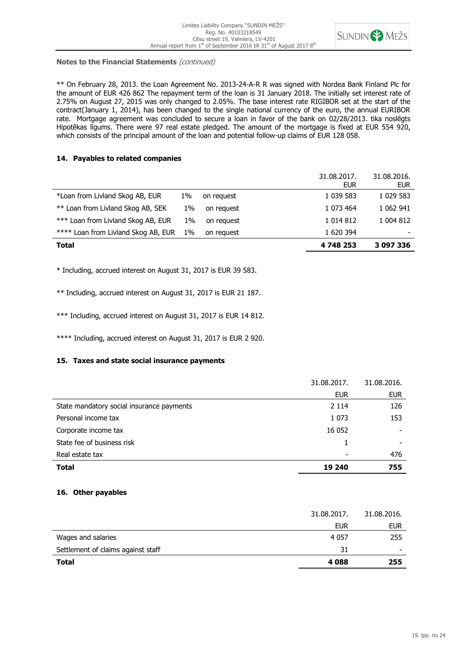

\*\* On February 28, 2013. the Loan Agreement No. 2013-24-A-R R was signed with Nordea Bank Finland Plc for the amount of EUR 426 862 The repayment term of the loan is 31 January 2018. The initially set interest rate of 2.75% on August 27, 2015 was only changed to 2.05%. The base interest rate RIGIBOR set at the start of the contract(January 1, 2014), has been changed to the single national currency of the euro, the annual EURIBOR rate. Mortgage agreement was concluded to secure a loan in favor of the bank on 02/28/2013. tika noslēgts Hipotēkas līgums. There were 97 real estate pledged. The amount of the mortgage is fixed at EUR 554 920, which consists of the principal amount of the loan and potential follow-up claims of EUR 128 058.

# **14. Payables to related companies**

|                                     |    |            | 31.08.2017.<br>EUR | 31.08.2016.<br>EUR |
|-------------------------------------|----|------------|--------------------|--------------------|
| *Loan from Livland Skog AB, EUR     | 1% | on request | 1 039 583          | 1 029 583          |
| ** Loan from Livland Skog AB, SEK   | 1% | on request | 1 073 464          | 1 062 941          |
| *** Loan from Livland Skog AB, EUR  | 1% | on request | 1 0 1 4 8 1 2      | 1 004 812          |
| **** Loan from Livland Skog AB, EUR | 1% | on request | 1 620 394          |                    |
| <b>Total</b>                        |    |            | 4 748 253          | 3 097 336          |

\* Including, accrued interest on August 31, 2017 is EUR 39 583.

\*\* Including, accrued interest on August 31, 2017 is EUR 21 187.

\*\*\* Including, accrued interest on August 31, 2017 is EUR 14 812.

\*\*\*\* Including, accrued interest on August 31, 2017 is EUR 2 920.

# **15. Taxes and state social insurance payments**

|                                           | 31.08.2017. | 31.08.2016. |
|-------------------------------------------|-------------|-------------|
|                                           | <b>EUR</b>  | <b>EUR</b>  |
| State mandatory social insurance payments | 2 1 1 4     | 126         |
| Personal income tax                       | 1 0 7 3     | 153         |
| Corporate income tax                      | 16 052      |             |
| State fee of business risk                |             |             |
| Real estate tax                           |             | 476         |
| <b>Total</b>                              | 19 240      | 755         |

# **16. Other payables**

| <b>Total</b>                       | 4088        | 255         |
|------------------------------------|-------------|-------------|
|                                    |             |             |
| Settlement of claims against staff | 31          |             |
| Wages and salaries                 | 4 0 5 7     | 255         |
|                                    | <b>EUR</b>  | <b>EUR</b>  |
|                                    | 31.08.2017. | 31.08.2016. |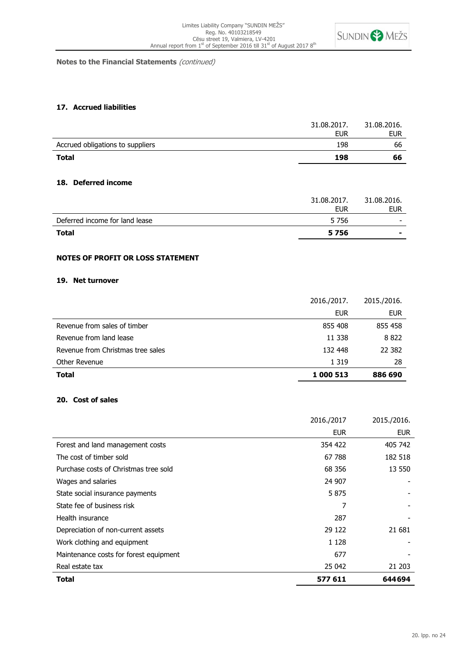

# **17. Accrued liabilities**

| <b>Total</b>                     | 198         | 66          |
|----------------------------------|-------------|-------------|
| Accrued obligations to suppliers | 198         | 66          |
|                                  | <b>EUR</b>  | EUR         |
|                                  | 31.08.2017. | 31.08.2016. |

#### **18. Deferred income**

| <b>Total</b>                   | 5756        | $\blacksquare$           |
|--------------------------------|-------------|--------------------------|
| Deferred income for land lease | 5 7 5 6     | $\overline{\phantom{a}}$ |
|                                | <b>EUR</b>  | <b>EUR</b>               |
|                                | 31.08.2017. | 31.08.2016.              |

# **NOTES OF PROFIT OR LOSS STATEMENT**

# **19. Net turnover**

| <b>Total</b>                      | 1 000 513   | 886 690     |
|-----------------------------------|-------------|-------------|
| Other Revenue                     | 1 3 1 9     | 28          |
| Revenue from Christmas tree sales | 132 448     | 22 3 82     |
| Revenue from land lease           | 11 338      | 8822        |
| Revenue from sales of timber      | 855 408     | 855 458     |
|                                   | <b>EUR</b>  | <b>EUR</b>  |
|                                   | 2016./2017. | 2015./2016. |

# **20. Cost of sales**

|                                        | 2016./2017 | 2015./2016. |
|----------------------------------------|------------|-------------|
|                                        | <b>EUR</b> | <b>EUR</b>  |
| Forest and land management costs       | 354 422    | 405 742     |
| The cost of timber sold                | 67 788     | 182 518     |
| Purchase costs of Christmas tree sold  | 68 356     | 13 550      |
| Wages and salaries                     | 24 907     |             |
| State social insurance payments        | 5875       |             |
| State fee of business risk             | 7          |             |
| Health insurance                       | 287        |             |
| Depreciation of non-current assets     | 29 122     | 21 681      |
| Work clothing and equipment            | 1 1 2 8    |             |
| Maintenance costs for forest equipment | 677        |             |
| Real estate tax                        | 25 042     | 21 203      |
| Total                                  | 577 611    | 644694      |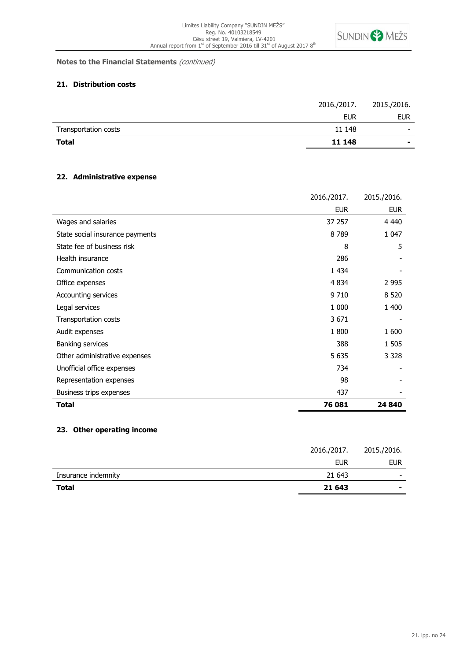

# **21. Distribution costs**

| <b>Total</b>         | 11 148      | ۰                        |
|----------------------|-------------|--------------------------|
| Transportation costs | 11 148      | $\overline{\phantom{0}}$ |
|                      | <b>EUR</b>  | <b>EUR</b>               |
|                      | 2016./2017. | 2015./2016.              |

# **22. Administrative expense**

|                                 | 2016./2017. | 2015./2016. |
|---------------------------------|-------------|-------------|
|                                 | <b>EUR</b>  | <b>EUR</b>  |
| Wages and salaries              | 37 257      | 4 4 4 0     |
| State social insurance payments | 8789        | 1 0 4 7     |
| State fee of business risk      | 8           | 5           |
| Health insurance                | 286         |             |
| Communication costs             | 1 4 3 4     |             |
| Office expenses                 | 4 8 3 4     | 2 9 9 5     |
| Accounting services             | 9710        | 8 5 20      |
| Legal services                  | 1 000       | 1 400       |
| Transportation costs            | 3671        |             |
| Audit expenses                  | 1800        | 1 600       |
| Banking services                | 388         | 1 505       |
| Other administrative expenses   | 5 6 3 5     | 3 3 2 8     |
| Unofficial office expenses      | 734         |             |
| Representation expenses         | 98          |             |
| Business trips expenses         | 437         |             |
| Total                           | 76 081      | 24 840      |

# **23. Other operating income**

| <b>Total</b>        | 21 643      |                          |
|---------------------|-------------|--------------------------|
| Insurance indemnity | 21 643      | $\overline{\phantom{a}}$ |
|                     | <b>EUR</b>  | <b>EUR</b>               |
|                     | 2016./2017. | 2015./2016.              |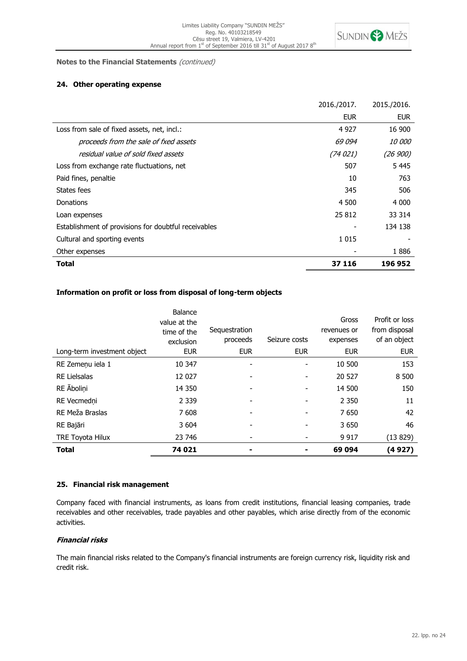

# **24. Other operating expense**

|                                                      | 2016./2017. | 2015./2016.   |
|------------------------------------------------------|-------------|---------------|
|                                                      | <b>EUR</b>  | <b>EUR</b>    |
| Loss from sale of fixed assets, net, incl.:          | 4 9 2 7     | 16 900        |
| proceeds from the sale of fxed assets                | 69 094      | <i>10 000</i> |
| residual value of sold fixed assets                  | (74 021)    | (26 900)      |
| Loss from exchange rate fluctuations, net            | 507         | 5445          |
| Paid fines, penaltie                                 | 10          | 763           |
| States fees                                          | 345         | 506           |
| Donations                                            | 4 500       | 4 0 0 0       |
| Loan expenses                                        | 25 812      | 33 314        |
| Establishment of provisions for doubtful receivables |             | 134 138       |
| Cultural and sporting events                         | 1 0 1 5     |               |
| Other expenses                                       |             | 1886          |
| Total                                                | 37 116      | 196 952       |

# **Information on profit or loss from disposal of long-term objects**

|                             | Balance<br>value at the<br>time of the<br>exclusion | Sequestration<br>proceeds | Seizure costs | Gross<br>revenues or<br>expenses | Profit or loss<br>from disposal<br>of an object |
|-----------------------------|-----------------------------------------------------|---------------------------|---------------|----------------------------------|-------------------------------------------------|
| Long-term investment object | <b>EUR</b>                                          | <b>EUR</b>                | <b>EUR</b>    | <b>EUR</b>                       | <b>EUR</b>                                      |
| RE Zemeņu iela 1            | 10 347                                              |                           |               | 10 500                           | 153                                             |
| <b>RE Lielsalas</b>         | 12 0 27                                             |                           |               | 20 527                           | 8 500                                           |
| RE Abolini                  | 14 3 50                                             |                           |               | 14 500                           | 150                                             |
| RE Vecmedni                 | 2 3 3 9                                             |                           |               | 2 3 5 0                          | 11                                              |
| RE Meža Braslas             | 7608                                                |                           |               | 7650                             | 42                                              |
| RE Bajāri                   | 3 604                                               |                           |               | 3 6 5 0                          | 46                                              |
| <b>TRE Toyota Hilux</b>     | 23 746                                              |                           |               | 9 9 1 7                          | (13 829)                                        |
| <b>Total</b>                | 74 021                                              | $\overline{\phantom{a}}$  |               | 69 094                           | (4927)                                          |

# **25. Financial risk management**

Company faced with financial instruments, as loans from credit institutions, financial leasing companies, trade receivables and other receivables, trade payables and other payables, which arise directly from of the economic activities.

# **Financial risks**

The main financial risks related to the Company's financial instruments are foreign currency risk, liquidity risk and credit risk.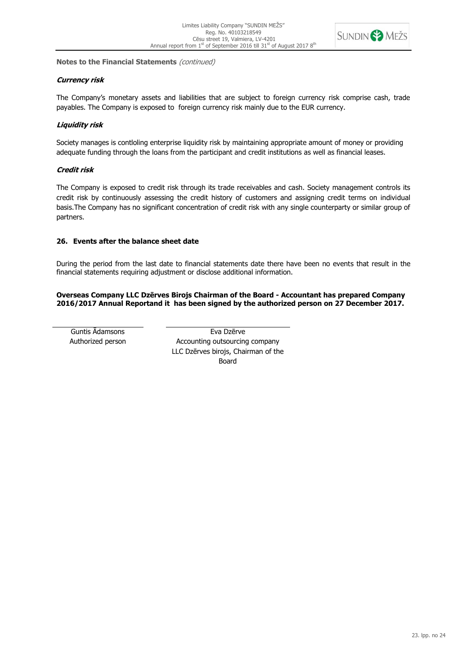

# **Currency risk**

The Company's monetary assets and liabilities that are subject to foreign currency risk comprise cash, trade payables. The Company is exposed to foreign currency risk mainly due to the EUR currency.

# **Liquidity risk**

Society manages is contloling enterprise liquidity risk by maintaining appropriate amount of money or providing adequate funding through the loans from the participant and credit institutions as well as financial leases.

# **Credit risk**

The Company is exposed to credit risk through its trade receivables and cash. Society management controls its credit risk by continuously assessing the credit history of customers and assigning credit terms on individual basis.The Company has no significant concentration of credit risk with any single counterparty or similar group of partners.

# **26. Events after the balance sheet date**

During the period from the last date to financial statements date there have been no events that result in the financial statements requiring adjustment or disclose additional information.

**Overseas Company LLC Dzērves Birojs Chairman of the Board - Accountant has prepared Company 2016/2017 Annual Reportand it has been signed by the authorized person on 27 December 2017.**

Guntis Ādamsons **Eva Dzērve** Authorized person Accounting outsourcing company LLC Dzērves birojs, Chairman of the Board